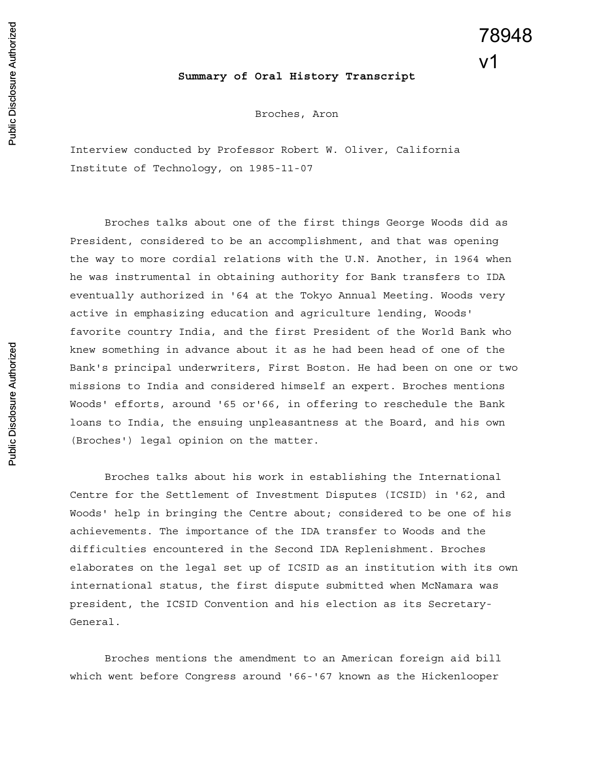## 78948  $V<sub>1</sub>$

## **Summary of Oral History Transcript**

Broches, Aron

Interview conducted by Professor Robert W. Oliver, California Institute of Technology, on 1985-11-07

Broches talks about one of the first things George Woods did as President, considered to be an accomplishment, and that was opening the way to more cordial relations with the U.N. Another, in 1964 when he was instrumental in obtaining authority for Bank transfers to IDA eventually authorized in '64 at the Tokyo Annual Meeting. Woods very active in emphasizing education and agriculture lending, Woods' favorite country India, and the first President of the World Bank who knew something in advance about it as he had been head of one of the Bank's principal underwriters, First Boston. He had been on one or two missions to India and considered himself an expert. Broches mentions Woods' efforts, around '65 or'66, in offering to reschedule the Bank loans to India, the ensuing unpleasantness at the Board, and his own (Broches') legal opinion on the matter.

Broches talks about his work in establishing the International Centre for the Settlement of Investment Disputes (ICSID) in '62, and Woods' help in bringing the Centre about; considered to be one of his achievements. The importance of the IDA transfer to Woods and the difficulties encountered in the Second IDA Replenishment. Broches elaborates on the legal set up of ICSID as an institution with its own international status, the first dispute submitted when McNamara was president, the ICSID Convention and his election as its Secretary-General.

Broches mentions the amendment to an American foreign aid bill which went before Congress around '66-'67 known as the Hickenlooper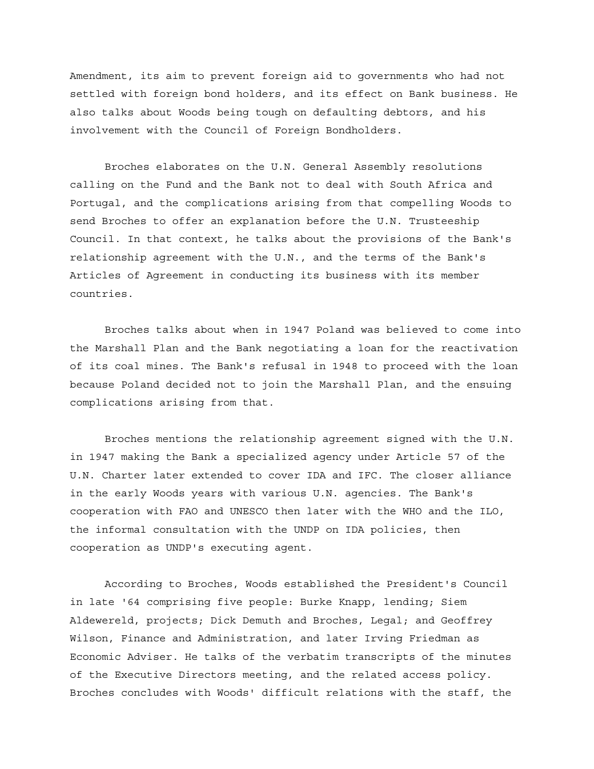Amendment, its aim to prevent foreign aid to governments who had not settled with foreign bond holders, and its effect on Bank business. He also talks about Woods being tough on defaulting debtors, and his involvement with the Council of Foreign Bondholders.

Broches elaborates on the U.N. General Assembly resolutions calling on the Fund and the Bank not to deal with South Africa and Portugal, and the complications arising from that compelling Woods to send Broches to offer an explanation before the U.N. Trusteeship Council. In that context, he talks about the provisions of the Bank's relationship agreement with the U.N., and the terms of the Bank's Articles of Agreement in conducting its business with its member countries.

Broches talks about when in 1947 Poland was believed to come into the Marshall Plan and the Bank negotiating a loan for the reactivation of its coal mines. The Bank's refusal in 1948 to proceed with the loan because Poland decided not to join the Marshall Plan, and the ensuing complications arising from that.

Broches mentions the relationship agreement signed with the U.N. in 1947 making the Bank a specialized agency under Article 57 of the U.N. Charter later extended to cover IDA and IFC. The closer alliance in the early Woods years with various U.N. agencies. The Bank's cooperation with FAO and UNESCO then later with the WHO and the ILO, the informal consultation with the UNDP on IDA policies, then cooperation as UNDP's executing agent.

According to Broches, Woods established the President's Council in late '64 comprising five people: Burke Knapp, lending; Siem Aldewereld, projects; Dick Demuth and Broches, Legal; and Geoffrey Wilson, Finance and Administration, and later Irving Friedman as Economic Adviser. He talks of the verbatim transcripts of the minutes of the Executive Directors meeting, and the related access policy. Broches concludes with Woods' difficult relations with the staff, the